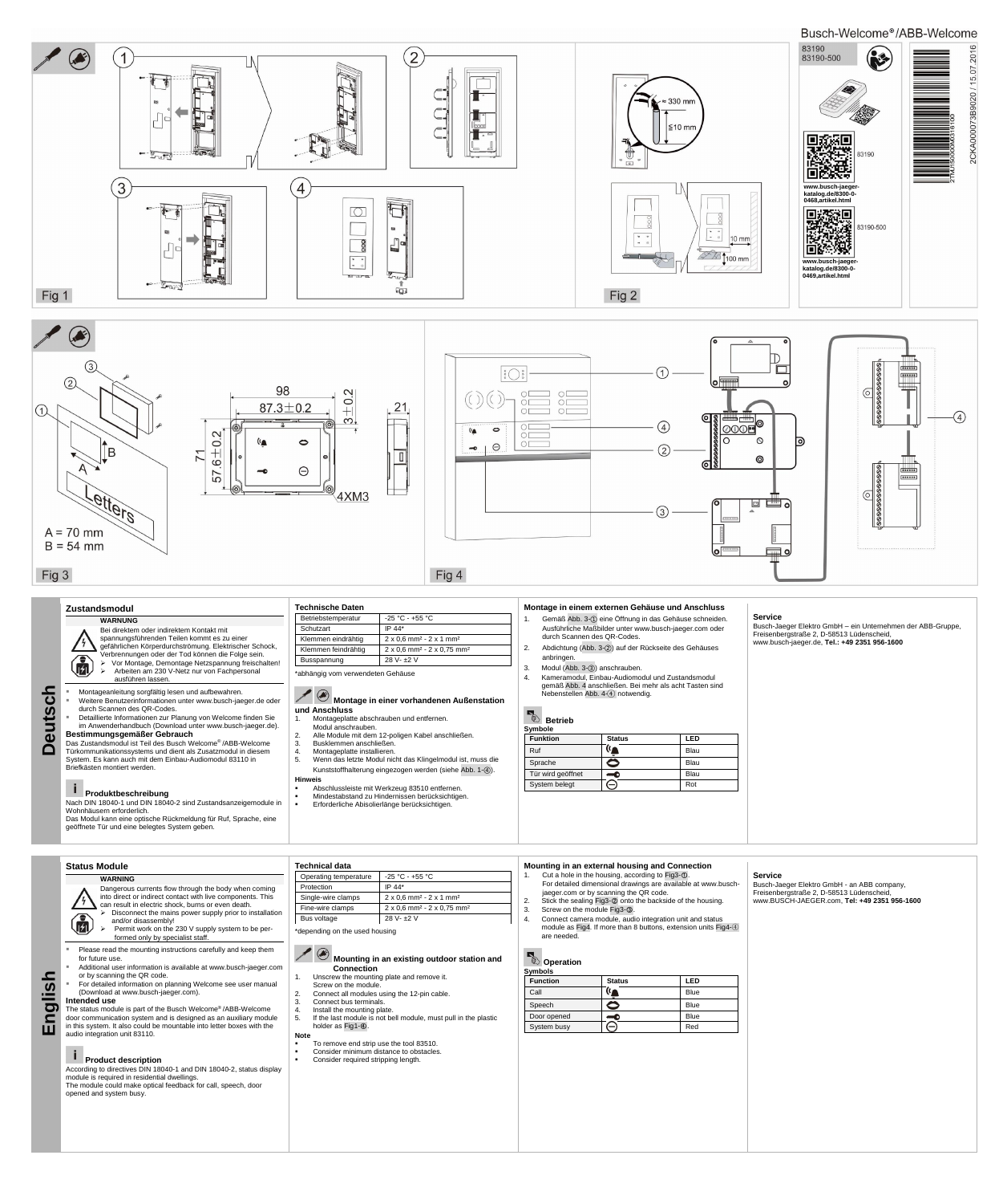**Deutsch**

### **Zustandsmodul**

## **WARNUNG**

Bei direktem oder indirektem Kontakt mit spannungsführenden Teilen kommt es zu einer gefährlichen Körperdurchströmung. Elektrischer Schock, Verbrennungen oder der Tod können die Folge sein. > Vor Montage, Demontage Netzspannung freischalten! 風 > Arbeiten am 230 V-Netz nur von Fachpersonal ausführen lassen.

 Montageanleitung sorgfältig lesen und aufbewahren. Weitere Benutzerinformationen unter www.busch-jaeger.de oder durch Scannen des QR-Codes.

 Detaillierte Informationen zur Planung von Welcome finden Sie im Anwenderhandbuch (Download unter www.busch-jaeger.de). **Bestimmungsgemäßer Gebrauch**

- Modul anschrauben. 2. Alle Module mit dem 12-poligen Kabel anschließen.
- 
- 3. Busklemmen anschließen.<br>4. Montageplatte installieren.<br>5. Wenn das letzte Modul nicht 4. Montageplatte installieren.
- 5. Wenn das letzte Modul nicht das Klingelmodul ist, muss die Kunststoffhalterung eingezogen werden (siehe Abb. 1-④).
- **Hinweis**  Abschlussleiste mit Werkzeug 83510 entfernen.
- Mindestabstand zu Hindernissen berücksichtigen.
- **Erforderliche Abisolierlänge berücksichtigen.**

Das Zustandsmodul ist Teil des Busch Welcome® /ABB-Welcome Türkommunikationssystems und dient als Zusatzmodul in diesem System. Es kann auch mit dem Einbau-Audiomodul 83110 in Briefkästen montiert werden.

# **Produktbeschreibung**

Nach DIN 18040-1 und DIN 18040-2 sind Zustandsanzeigemodule in Wohnhäusern erforderlich.

Das Modul kann eine optische Rückmeldung für Ruf, Sprache, eine geöffnete Tür und eine belegtes System geben.

| Technische Daten |  |
|------------------|--|
|                  |  |

| Betriebstemperatur                | -25 °C - +55 °C                                                  |  |
|-----------------------------------|------------------------------------------------------------------|--|
| Schutzart                         | IP 44*                                                           |  |
| Klemmen eindrähtig                | $2 \times 0.6$ mm <sup>2</sup> - $2 \times 1$ mm <sup>2</sup>    |  |
| Klemmen feindrähtig               | $2 \times 0.6$ mm <sup>2</sup> - $2 \times 0.75$ mm <sup>2</sup> |  |
| $28 V - 2 V$<br>Busspannung       |                                                                  |  |
| *abhängig vom verwendeten Gehäuse |                                                                  |  |

Dangerous currents flow through the body when coming into direct or indirect contact with live components. This can result in electric shock, burns or even death.<br>  $\triangleright$  Disconnect the mains power supply prior to in

## **Montage in einer vorhandenen Außenstation und Anschluss**

1. Montageplatte abschrauben und entfernen.

- $\bigcirc$
- Disconnect the mains power supply prior to installation and/or disassembly! → Permit work on the 230 V supply system to be per
	- formed only by specialist staff.
- Please read the mounting instructions carefully and keep them for future use.
- Additional user information is available at www.busch-jaeger.com or by scanning the QR code.
- For detailed information on planning Welcome see user manual (Download at www.busch-jaeger.com).

## **Montage in einem externen Gehäuse und Anschluss**

- 1. Gemäß Abb. 3-① eine Öffnung in das Gehäuse schneiden. Ausführliche Maßbilder unter www.busch-jaeger.com oder durch Scannen des QR-Codes.
- 2. Abdichtung (Abb. 3-②) auf der Rückseite des Gehäuses anbringen.
- 3. Modul (Abb. 3-③) anschrauben.
- 4. Kameramodul, Einbau-Audiomodul und Zustandsmodul gemäß Abb. 4 anschließen. Bei mehr als acht Tasten sind Nebenstellen Abb. 4-④ notwendig.

- To remove end strip use the tool 83510.<br>■ Consider minimum distance to obstacles
- Consider minimum distance to obstacles.
- Consider required stripping length.

# **Betrieb**

| Symbole           |               |      |
|-------------------|---------------|------|
| <b>Funktion</b>   | <b>Status</b> | LED  |
| Ruf               |               | Blau |
| Sprache           | $\Rightarrow$ | Blau |
| Tür wird geöffnet |               | Blau |
| System belegt     |               | Rot  |

- Screw on the module Fig3-<sup>®</sup>.
- 4. Connect camera module, audio integration unit and status module as Fig4. If more than 8 buttons, extension units Fig4-④ are needed.

# **Operation**

## **Service**

Busch-Jaeger Elektro GmbH – ein Unternehmen der ABB-Gruppe, Freisenbergstraße 2, D-58513 Lüdenscheid, www.busch-jaeger.de, **Tel.: +49 2351 956-1600**

**English**

**Status Module**

| -------------- |
|----------------|
| <b>WARNING</b> |

## **Intended use**

The status module is part of the Busch Welcome® /ABB-Welcome door communication system and is designed as an auxiliary module in this system. It also could be mountable into letter boxes with the audio integration unit 83110.

# **Product description**

According to directives DIN 18040-1 and DIN 18040-2, status display module is required in residential dwellings. The module could make optical feedback for call, speech, door opened and system busy.

| <b>Technical data</b> |                                                                  |
|-----------------------|------------------------------------------------------------------|
| Operating temperature | $-25 °C - +55 °C$                                                |
| Protection            | IP $44*$                                                         |
| Single-wire clamps    | $2 \times 0.6$ mm <sup>2</sup> - $2 \times 1$ mm <sup>2</sup>    |
| Fine-wire clamps      | $2 \times 0.6$ mm <sup>2</sup> - $2 \times 0.75$ mm <sup>2</sup> |

| Bus voltage | 28 V- ±2 V |  |
|-------------|------------|--|

\*depending on the used housing

**Mounting in an existing outdoor station and** 

### **Connection**

- 1. Unscrew the mounting plate and remove it. Screw on the module.
- 2. Connect all modules using the 12-pin cable.
- 3. Connect bus terminals.
- 4. Install the mounting plate.<br>5. If the last module is not be
- If the last module is not bell module, must pull in the plastic holder as Fig1-④.

#### **Note**

## **Mounting in an external housing and Connection**

- 1. Cut a hole in the housing, according to Fig3-①. For detailed dimensional drawings are available at www.buschjaeger.com or by scanning the QR code.
- 2. Stick the sealing Fig3-② onto the backside of the housing.
	-

#### **Symbols**

| <b>Function</b> | <b>Status</b> | LED         |
|-----------------|---------------|-------------|
| Call            |               | <b>Blue</b> |
| Speech          | $\bullet$     | <b>Blue</b> |
| Door opened     |               | <b>Blue</b> |
| System busy     |               | Red         |

## **Service**

Busch-Jaeger Elektro GmbH - an ABB company, Freisenbergstraße 2, D-58513 Lüdenscheid, www.BUSCH-JAEGER.com, **Tel: +49 2351 956-1600**

Busch-Welcome®/ABB-Welcome